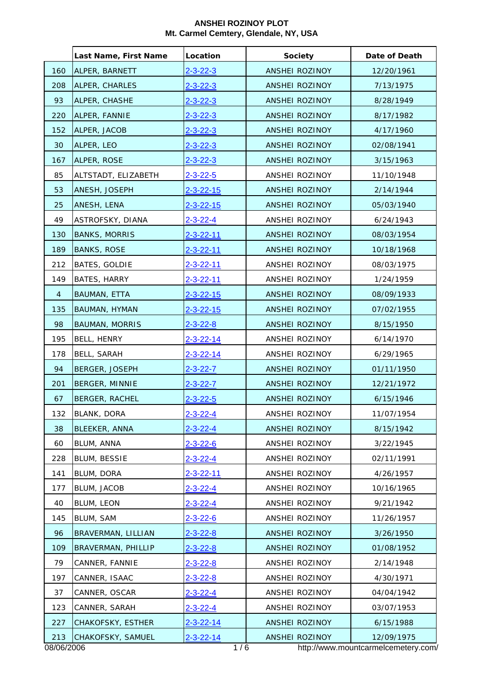|                | Last Name, First Name | Location          | <b>Society</b>        | Date of Death                       |
|----------------|-----------------------|-------------------|-----------------------|-------------------------------------|
| 160            | ALPER, BARNETT        | $2 - 3 - 22 - 3$  | ANSHEI ROZINOY        | 12/20/1961                          |
| 208            | ALPER, CHARLES        | $2 - 3 - 22 - 3$  | ANSHEI ROZINOY        | 7/13/1975                           |
| 93             | ALPER, CHASHE         | $2 - 3 - 22 - 3$  | ANSHEI ROZINOY        | 8/28/1949                           |
| 220            | ALPER, FANNIE         | $2 - 3 - 22 - 3$  | <b>ANSHEI ROZINOY</b> | 8/17/1982                           |
| 152            | ALPER, JACOB          | $2 - 3 - 22 - 3$  | <b>ANSHEI ROZINOY</b> | 4/17/1960                           |
| 30             | ALPER, LEO            | $2 - 3 - 22 - 3$  | <b>ANSHEI ROZINOY</b> | 02/08/1941                          |
| 167            | ALPER, ROSE           | $2 - 3 - 22 - 3$  | ANSHEI ROZINOY        | 3/15/1963                           |
| 85             | ALTSTADT, ELIZABETH   | $2 - 3 - 22 - 5$  | ANSHEI ROZINOY        | 11/10/1948                          |
| 53             | ANESH, JOSEPH         | $2 - 3 - 22 - 15$ | ANSHEI ROZINOY        | 2/14/1944                           |
| 25             | ANESH, LENA           | 2-3-22-15         | <b>ANSHEI ROZINOY</b> | 05/03/1940                          |
| 49             | ASTROFSKY, DIANA      | $2 - 3 - 22 - 4$  | ANSHEI ROZINOY        | 6/24/1943                           |
| 130            | <b>BANKS, MORRIS</b>  | 2-3-22-11         | ANSHEI ROZINOY        | 08/03/1954                          |
| 189            | <b>BANKS, ROSE</b>    | $2 - 3 - 22 - 11$ | ANSHEI ROZINOY        | 10/18/1968                          |
| 212            | BATES, GOLDIE         | $2 - 3 - 22 - 11$ | ANSHEI ROZINOY        | 08/03/1975                          |
| 149            | <b>BATES, HARRY</b>   | $2 - 3 - 22 - 11$ | ANSHEI ROZINOY        | 1/24/1959                           |
| $\overline{4}$ | BAUMAN, ETTA          | $2 - 3 - 22 - 15$ | ANSHEI ROZINOY        | 08/09/1933                          |
| 135            | BAUMAN, HYMAN         | 2-3-22-15         | ANSHEI ROZINOY        | 07/02/1955                          |
| 98             | <b>BAUMAN, MORRIS</b> | $2 - 3 - 22 - 8$  | ANSHEI ROZINOY        | 8/15/1950                           |
| 195            | BELL, HENRY           | $2 - 3 - 22 - 14$ | ANSHEI ROZINOY        | 6/14/1970                           |
| 178            | <b>BELL, SARAH</b>    | $2 - 3 - 22 - 14$ | ANSHEI ROZINOY        | 6/29/1965                           |
| 94             | BERGER, JOSEPH        | <u>2-3-22-7</u>   | <b>ANSHEI ROZINOY</b> | 01/11/1950                          |
| 201            | BERGER, MINNIE        | 2-3-22-7          | ANSHEI ROZINOY        | 12/21/1972                          |
| 67             | BERGER, RACHEL        | $2 - 3 - 22 - 5$  | ANSHEI ROZINOY        | 6/15/1946                           |
| 132            | BLANK, DORA           | $2 - 3 - 22 - 4$  | ANSHEI ROZINOY        | 11/07/1954                          |
| 38             | BLEEKER, ANNA         | $2 - 3 - 22 - 4$  | ANSHEI ROZINOY        | 8/15/1942                           |
| 60             | BLUM, ANNA            | $2 - 3 - 22 - 6$  | ANSHEI ROZINOY        | 3/22/1945                           |
| 228            | <b>BLUM, BESSIE</b>   | $2 - 3 - 22 - 4$  | ANSHEI ROZINOY        | 02/11/1991                          |
| 141            | BLUM, DORA            | $2 - 3 - 22 - 11$ | ANSHEI ROZINOY        | 4/26/1957                           |
| 177            | BLUM, JACOB           | $2 - 3 - 22 - 4$  | ANSHEI ROZINOY        | 10/16/1965                          |
| 40             | BLUM, LEON            | $2 - 3 - 22 - 4$  | ANSHEI ROZINOY        | 9/21/1942                           |
| 145            | BLUM, SAM             | $2 - 3 - 22 - 6$  | ANSHEI ROZINOY        | 11/26/1957                          |
| 96             | BRAVERMAN, LILLIAN    | 2-3-22-8          | ANSHEI ROZINOY        | 3/26/1950                           |
| 109            | BRAVERMAN, PHILLIP    | $2 - 3 - 22 - 8$  | ANSHEI ROZINOY        | 01/08/1952                          |
| 79             | CANNER, FANNIE        | $2 - 3 - 22 - 8$  | ANSHEI ROZINOY        | 2/14/1948                           |
| 197            | CANNER, ISAAC         | $2 - 3 - 22 - 8$  | ANSHEI ROZINOY        | 4/30/1971                           |
| 37             | CANNER, OSCAR         | $2 - 3 - 22 - 4$  | ANSHEI ROZINOY        | 04/04/1942                          |
| 123            | CANNER, SARAH         | $2 - 3 - 22 - 4$  | ANSHEI ROZINOY        | 03/07/1953                          |
| 227            | CHAKOFSKY, ESTHER     | $2 - 3 - 22 - 14$ | ANSHEI ROZINOY        | 6/15/1988                           |
| 213            | CHAKOFSKY, SAMUEL     | $2 - 3 - 22 - 14$ | <b>ANSHEI ROZINOY</b> | 12/09/1975                          |
| 08/06/2006     |                       | 1/6               |                       | http://www.mountcarmelcemetery.com/ |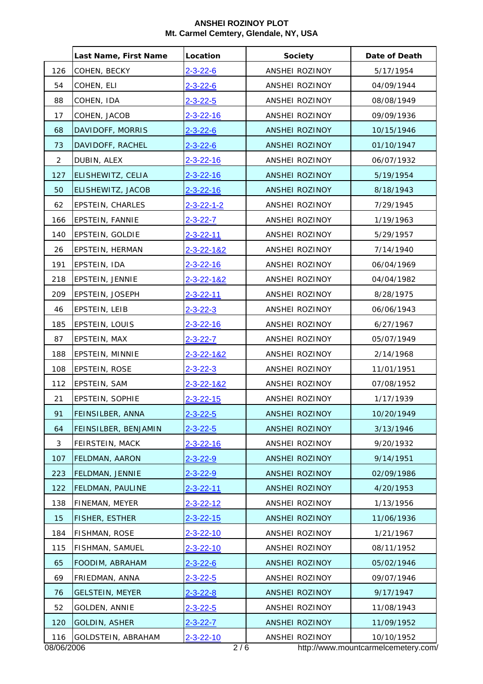|                | Last Name, First Name  | Location           | <b>Society</b> | Date of Death                       |
|----------------|------------------------|--------------------|----------------|-------------------------------------|
| 126            | COHEN, BECKY           | $2 - 3 - 22 - 6$   | ANSHEI ROZINOY | 5/17/1954                           |
| 54             | COHEN, ELI             | $2 - 3 - 22 - 6$   | ANSHEI ROZINOY | 04/09/1944                          |
| 88             | COHEN, IDA             | $2 - 3 - 22 - 5$   | ANSHEI ROZINOY | 08/08/1949                          |
| 17             | COHEN, JACOB           | $2 - 3 - 22 - 16$  | ANSHEI ROZINOY | 09/09/1936                          |
| 68             | DAVIDOFF, MORRIS       | $2 - 3 - 22 - 6$   | ANSHEI ROZINOY | 10/15/1946                          |
| 73             | DAVIDOFF, RACHEL       | $2 - 3 - 22 - 6$   | ANSHEI ROZINOY | 01/10/1947                          |
| $\overline{2}$ | DUBIN, ALEX            | $2 - 3 - 22 - 16$  | ANSHEI ROZINOY | 06/07/1932                          |
| 127            | ELISHEWITZ, CELIA      | $2 - 3 - 22 - 16$  | ANSHEI ROZINOY | 5/19/1954                           |
| 50             | ELISHEWITZ, JACOB      | $2 - 3 - 22 - 16$  | ANSHEI ROZINOY | 8/18/1943                           |
| 62             | EPSTEIN, CHARLES       | 2-3-22-1-2         | ANSHEI ROZINOY | 7/29/1945                           |
| 166            | EPSTEIN, FANNIE        | $2 - 3 - 22 - 7$   | ANSHEI ROZINOY | 1/19/1963                           |
| 140            | EPSTEIN, GOLDIE        | 2-3-22-11          | ANSHEI ROZINOY | 5/29/1957                           |
| 26             | EPSTEIN, HERMAN        | 2-3-22-1&2         | ANSHEI ROZINOY | 7/14/1940                           |
| 191            | EPSTEIN, IDA           | 2-3-22-16          | ANSHEI ROZINOY | 06/04/1969                          |
| 218            | EPSTEIN, JENNIE        | 2-3-22-1&2         | ANSHEI ROZINOY | 04/04/1982                          |
| 209            | EPSTEIN, JOSEPH        | $2 - 3 - 22 - 11$  | ANSHEI ROZINOY | 8/28/1975                           |
| 46             | EPSTEIN, LEIB          | $2 - 3 - 22 - 3$   | ANSHEI ROZINOY | 06/06/1943                          |
| 185            | EPSTEIN, LOUIS         | $2 - 3 - 22 - 16$  | ANSHEI ROZINOY | 6/27/1967                           |
| 87             | EPSTEIN, MAX           | $2 - 3 - 22 - 7$   | ANSHEI ROZINOY | 05/07/1949                          |
| 188            | EPSTEIN, MINNIE        | $2 - 3 - 22 - 182$ | ANSHEI ROZINOY | 2/14/1968                           |
| 108            | EPSTEIN, ROSE          | $2 - 3 - 22 - 3$   | ANSHEI ROZINOY | 11/01/1951                          |
| 112            | EPSTEIN, SAM           | 2-3-22-1&2         | ANSHEI ROZINOY | 07/08/1952                          |
| 21             | EPSTEIN, SOPHIE        | 2-3-22-15          | ANSHEI ROZINOY | 1/17/1939                           |
| 91             | FEINSILBER, ANNA       | $2 - 3 - 22 - 5$   | ANSHEI ROZINOY | 10/20/1949                          |
| 64             | FEINSILBER, BENJAMIN   | $2 - 3 - 22 - 5$   | ANSHEI ROZINOY | 3/13/1946                           |
| 3              | FEIRSTEIN, MACK        | 2-3-22-16          | ANSHEI ROZINOY | 9/20/1932                           |
| 107            | FELDMAN, AARON         | $2 - 3 - 22 - 9$   | ANSHEI ROZINOY | 9/14/1951                           |
| 223            | FELDMAN, JENNIE        | $2 - 3 - 22 - 9$   | ANSHEI ROZINOY | 02/09/1986                          |
| 122            | FELDMAN, PAULINE       | $2 - 3 - 22 - 11$  | ANSHEI ROZINOY | 4/20/1953                           |
| 138            | FINEMAN, MEYER         | 2-3-22-12          | ANSHEI ROZINOY | 1/13/1956                           |
| 15             | <b>FISHER, ESTHER</b>  | 2-3-22-15          | ANSHEI ROZINOY | 11/06/1936                          |
| 184            | FISHMAN, ROSE          | 2-3-22-10          | ANSHEI ROZINOY | 1/21/1967                           |
| 115            | FISHMAN, SAMUEL        | $2 - 3 - 22 - 10$  | ANSHEI ROZINOY | 08/11/1952                          |
| 65             | FOODIM, ABRAHAM        | $2 - 3 - 22 - 6$   | ANSHEI ROZINOY | 05/02/1946                          |
| 69             | FRIEDMAN, ANNA         | $2 - 3 - 22 - 5$   | ANSHEI ROZINOY | 09/07/1946                          |
| 76             | <b>GELSTEIN, MEYER</b> | $2 - 3 - 22 - 8$   | ANSHEI ROZINOY | 9/17/1947                           |
| 52             | GOLDEN, ANNIE          | $2 - 3 - 22 - 5$   | ANSHEI ROZINOY | 11/08/1943                          |
| 120            | <b>GOLDIN, ASHER</b>   | $2 - 3 - 22 - 7$   | ANSHEI ROZINOY | 11/09/1952                          |
| 116            | GOLDSTEIN, ABRAHAM     | $2 - 3 - 22 - 10$  | ANSHEI ROZINOY | 10/10/1952                          |
| 08/06/2006     |                        | 2/6                |                | http://www.mountcarmelcemetery.com/ |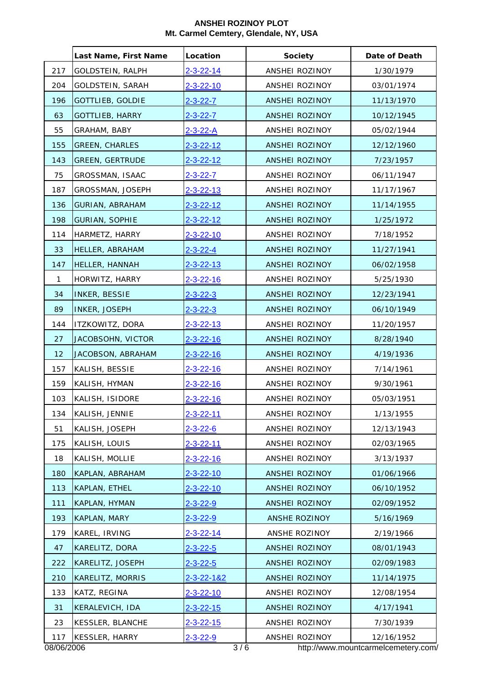|            | Last Name, First Name   | Location          | <b>Society</b>        | Date of Death                       |
|------------|-------------------------|-------------------|-----------------------|-------------------------------------|
| 217        | GOLDSTEIN, RALPH        | 2-3-22-14         | ANSHEI ROZINOY        | 1/30/1979                           |
| 204        | GOLDSTEIN, SARAH        | $2 - 3 - 22 - 10$ | ANSHEI ROZINOY        | 03/01/1974                          |
| 196        | <b>GOTTLIEB, GOLDIE</b> | $2 - 3 - 22 - 7$  | ANSHEI ROZINOY        | 11/13/1970                          |
| 63         | <b>GOTTLIEB, HARRY</b>  | $2 - 3 - 22 - 7$  | ANSHEI ROZINOY        | 10/12/1945                          |
| 55         | GRAHAM, BABY            | 2-3-22-A          | ANSHEI ROZINOY        | 05/02/1944                          |
| 155        | <b>GREEN, CHARLES</b>   | 2-3-22-12         | <b>ANSHEI ROZINOY</b> | 12/12/1960                          |
| 143        | <b>GREEN, GERTRUDE</b>  | $2 - 3 - 22 - 12$ | <b>ANSHEI ROZINOY</b> | 7/23/1957                           |
| 75         | GROSSMAN, ISAAC         | $2 - 3 - 22 - 7$  | ANSHEI ROZINOY        | 06/11/1947                          |
| 187        | GROSSMAN, JOSEPH        | $2 - 3 - 22 - 13$ | ANSHEI ROZINOY        | 11/17/1967                          |
| 136        | GURIAN, ABRAHAM         | 2-3-22-12         | ANSHEI ROZINOY        | 11/14/1955                          |
| 198        | <b>GURIAN, SOPHIE</b>   | $2 - 3 - 22 - 12$ | ANSHEI ROZINOY        | 1/25/1972                           |
| 114        | HARMETZ, HARRY          | 2-3-22-10         | ANSHEI ROZINOY        | 7/18/1952                           |
| 33         | HELLER, ABRAHAM         | $2 - 3 - 22 - 4$  | ANSHEI ROZINOY        | 11/27/1941                          |
| 147        | HELLER, HANNAH          | 2-3-22-13         | ANSHEI ROZINOY        | 06/02/1958                          |
| 1          | HORWITZ, HARRY          | 2-3-22-16         | ANSHEI ROZINOY        | 5/25/1930                           |
| 34         | INKER, BESSIE           | $2 - 3 - 22 - 3$  | ANSHEI ROZINOY        | 12/23/1941                          |
| 89         | INKER, JOSEPH           | $2 - 3 - 22 - 3$  | ANSHEI ROZINOY        | 06/10/1949                          |
| 144        | ITZKOWITZ, DORA         | $2 - 3 - 22 - 13$ | ANSHEI ROZINOY        | 11/20/1957                          |
| 27         | JACOBSOHN, VICTOR       | $2 - 3 - 22 - 16$ | ANSHEI ROZINOY        | 8/28/1940                           |
| 12         | JACOBSON, ABRAHAM       | $2 - 3 - 22 - 16$ | ANSHEI ROZINOY        | 4/19/1936                           |
| 157        | KALISH, BESSIE          | 2-3-22-16         | ANSHEI ROZINOY        | 7/14/1961                           |
| 159        | KALISH, HYMAN           | 2-3-22-16         | ANSHEI ROZINOY        | 9/30/1961                           |
| 103        | KALISH, ISIDORE         | $2 - 3 - 22 - 16$ | ANSHEI ROZINOY        | 05/03/1951                          |
| 134        | KALISH, JENNIE          | 2-3-22-11         | ANSHEI ROZINOY        | 1/13/1955                           |
| 51         | KALISH, JOSEPH          | $2 - 3 - 22 - 6$  | ANSHEI ROZINOY        | 12/13/1943                          |
| 175        | KALISH, LOUIS           | 2-3-22-11         | ANSHEI ROZINOY        | 02/03/1965                          |
| 18         | KALISH, MOLLIE          | $2 - 3 - 22 - 16$ | ANSHEI ROZINOY        | 3/13/1937                           |
| 180        | KAPLAN, ABRAHAM         | $2 - 3 - 22 - 10$ | ANSHEI ROZINOY        | 01/06/1966                          |
| 113        | KAPLAN, ETHEL           | $2 - 3 - 22 - 10$ | <b>ANSHEI ROZINOY</b> | 06/10/1952                          |
| 111        | KAPLAN, HYMAN           | 2-3-22-9          | <b>ANSHEI ROZINOY</b> | 02/09/1952                          |
| 193        | KAPLAN, MARY            | 2-3-22-9          | ANSHE ROZINOY         | 5/16/1969                           |
| 179        | KAREL, IRVING           | 2-3-22-14         | ANSHE ROZINOY         | 2/19/1966                           |
| 47         | KARELITZ, DORA          | $2 - 3 - 22 - 5$  | ANSHEI ROZINOY        | 08/01/1943                          |
| 222        | KARELITZ, JOSEPH        | $2 - 3 - 22 - 5$  | ANSHEI ROZINOY        | 02/09/1983                          |
| 210        | KARELITZ, MORRIS        | 2-3-22-1&2        | ANSHEI ROZINOY        | 11/14/1975                          |
| 133        | KATZ, REGINA            | $2 - 3 - 22 - 10$ | ANSHEI ROZINOY        | 12/08/1954                          |
| 31         | KERALEVICH, IDA         | $2 - 3 - 22 - 15$ | ANSHEI ROZINOY        | 4/17/1941                           |
| 23         | KESSLER, BLANCHE        | $2 - 3 - 22 - 15$ | ANSHEI ROZINOY        | 7/30/1939                           |
| 117        | KESSLER, HARRY          | $2 - 3 - 22 - 9$  | ANSHEI ROZINOY        | 12/16/1952                          |
| 08/06/2006 |                         | 3/6               |                       | http://www.mountcarmelcemetery.com/ |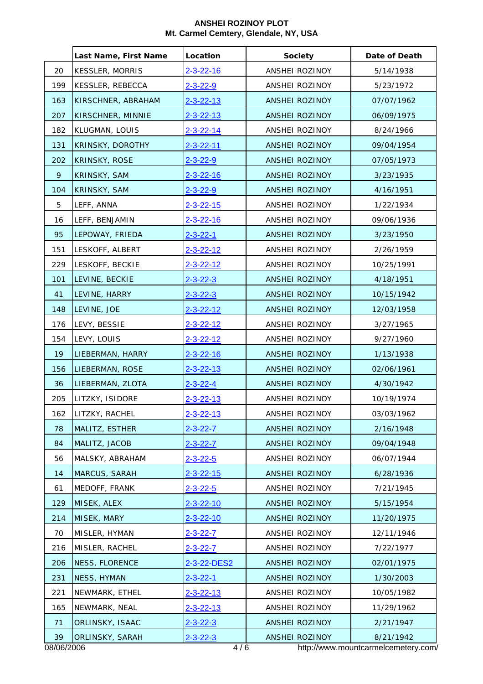|            | Last Name, First Name   | Location          | <b>Society</b>        | Date of Death                       |
|------------|-------------------------|-------------------|-----------------------|-------------------------------------|
| 20         | KESSLER, MORRIS         | $2 - 3 - 22 - 16$ | ANSHEI ROZINOY        | 5/14/1938                           |
| 199        | <b>KESSLER, REBECCA</b> | $2 - 3 - 22 - 9$  | ANSHEI ROZINOY        | 5/23/1972                           |
| 163        | KIRSCHNER, ABRAHAM      | $2 - 3 - 22 - 13$ | ANSHEI ROZINOY        | 07/07/1962                          |
| 207        | KIRSCHNER, MINNIE       | $2 - 3 - 22 - 13$ | ANSHEI ROZINOY        | 06/09/1975                          |
| 182        | KLUGMAN, LOUIS          | $2 - 3 - 22 - 14$ | ANSHEI ROZINOY        | 8/24/1966                           |
| 131        | KRINSKY, DOROTHY        | 2-3-22-11         | ANSHEI ROZINOY        | 09/04/1954                          |
| 202        | <b>KRINSKY, ROSE</b>    | $2 - 3 - 22 - 9$  | <b>ANSHEI ROZINOY</b> | 07/05/1973                          |
| 9          | KRINSKY, SAM            | $2 - 3 - 22 - 16$ | ANSHEI ROZINOY        | 3/23/1935                           |
| 104        | KRINSKY, SAM            | $2 - 3 - 22 - 9$  | ANSHEI ROZINOY        | 4/16/1951                           |
| 5          | LEFF, ANNA              | $2 - 3 - 22 - 15$ | ANSHEI ROZINOY        | 1/22/1934                           |
| 16         | LEFF, BENJAMIN          | $2 - 3 - 22 - 16$ | ANSHEI ROZINOY        | 09/06/1936                          |
| 95         | LEPOWAY, FRIEDA         | $2 - 3 - 22 - 1$  | ANSHEI ROZINOY        | 3/23/1950                           |
| 151        | LESKOFF, ALBERT         | $2 - 3 - 22 - 12$ | ANSHEI ROZINOY        | 2/26/1959                           |
| 229        | LESKOFF, BECKIE         | 2-3-22-12         | ANSHEI ROZINOY        | 10/25/1991                          |
| 101        | LEVINE, BECKIE          | $2 - 3 - 22 - 3$  | ANSHEI ROZINOY        | 4/18/1951                           |
| 41         | LEVINE, HARRY           | $2 - 3 - 22 - 3$  | ANSHEI ROZINOY        | 10/15/1942                          |
| 148        | LEVINE, JOE             | $2 - 3 - 22 - 12$ | ANSHEI ROZINOY        | 12/03/1958                          |
| 176        | LEVY, BESSIE            | $2 - 3 - 22 - 12$ | ANSHEI ROZINOY        | 3/27/1965                           |
| 154        | LEVY, LOUIS             | $2 - 3 - 22 - 12$ | ANSHEI ROZINOY        | 9/27/1960                           |
| 19         | LIEBERMAN, HARRY        | $2 - 3 - 22 - 16$ | ANSHEI ROZINOY        | 1/13/1938                           |
| 156        | LIEBERMAN, ROSE         | $2 - 3 - 22 - 13$ | <b>ANSHEI ROZINOY</b> | 02/06/1961                          |
| 36         | LIEBERMAN, ZLOTA        | $2 - 3 - 22 - 4$  | ANSHEI ROZINOY        | 4/30/1942                           |
| 205        | LITZKY, ISIDORE         | 2-3-22-13         | ANSHEI ROZINOY        | 10/19/1974                          |
| 162        | LITZKY, RACHEL          | <u>2-3-22-13</u>  | ANSHEI ROZINOY        | 03/03/1962                          |
| 78         | MALITZ, ESTHER          | $2 - 3 - 22 - 7$  | <b>ANSHEI ROZINOY</b> | 2/16/1948                           |
| 84         | MALITZ, JACOB           | $2 - 3 - 22 - 7$  | ANSHEI ROZINOY        | 09/04/1948                          |
| 56         | MALSKY, ABRAHAM         | $2 - 3 - 22 - 5$  | ANSHEI ROZINOY        | 06/07/1944                          |
| 14         | MARCUS, SARAH           | $2 - 3 - 22 - 15$ | ANSHEI ROZINOY        | 6/28/1936                           |
| 61         | MEDOFF, FRANK           | $2 - 3 - 22 - 5$  | ANSHEI ROZINOY        | 7/21/1945                           |
| 129        | MISEK, ALEX             | $2 - 3 - 22 - 10$ | ANSHEI ROZINOY        | 5/15/1954                           |
| 214        | MISEK, MARY             | $2 - 3 - 22 - 10$ | ANSHEI ROZINOY        | 11/20/1975                          |
| 70         | MISLER, HYMAN           | $2 - 3 - 22 - 7$  | ANSHEI ROZINOY        | 12/11/1946                          |
| 216        | MISLER, RACHEL          | $2 - 3 - 22 - 7$  | ANSHEI ROZINOY        | 7/22/1977                           |
| 206        | NESS, FLORENCE          | 2-3-22-DES2       | ANSHEI ROZINOY        | 02/01/1975                          |
| 231        | NESS, HYMAN             | $2 - 3 - 22 - 1$  | ANSHEI ROZINOY        | 1/30/2003                           |
| 221        | NEWMARK, ETHEL          | $2 - 3 - 22 - 13$ | ANSHEI ROZINOY        | 10/05/1982                          |
| 165        | NEWMARK, NEAL           | $2 - 3 - 22 - 13$ | ANSHEI ROZINOY        | 11/29/1962                          |
| 71         | ORLINSKY, ISAAC         | $2 - 3 - 22 - 3$  | ANSHEI ROZINOY        | 2/21/1947                           |
| 39         | ORLINSKY, SARAH         | $2 - 3 - 22 - 3$  | ANSHEI ROZINOY        | 8/21/1942                           |
| 08/06/2006 |                         | 4/6               |                       | http://www.mountcarmelcemetery.com/ |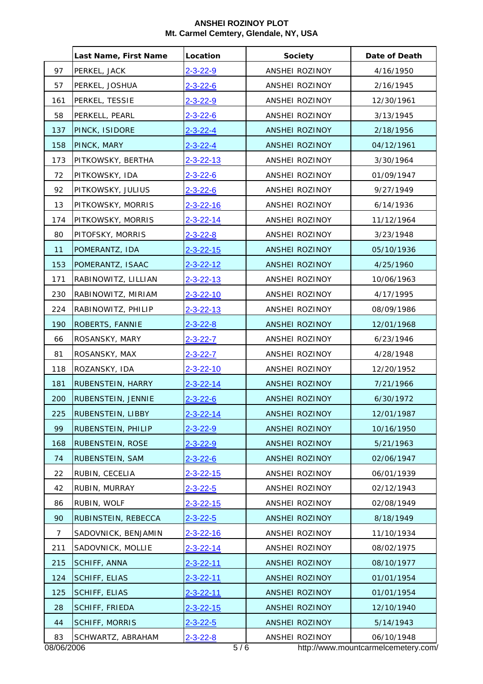|                | Last Name, First Name | Location          | <b>Society</b>        | Date of Death                       |
|----------------|-----------------------|-------------------|-----------------------|-------------------------------------|
| 97             | PERKEL, JACK          | $2 - 3 - 22 - 9$  | ANSHEI ROZINOY        | 4/16/1950                           |
| 57             | PERKEL, JOSHUA        | $2 - 3 - 22 - 6$  | ANSHEI ROZINOY        | 2/16/1945                           |
| 161            | PERKEL, TESSIE        | $2 - 3 - 22 - 9$  | ANSHEI ROZINOY        | 12/30/1961                          |
| 58             | PERKELL, PEARL        | $2 - 3 - 22 - 6$  | ANSHEI ROZINOY        | 3/13/1945                           |
| 137            | PINCK, ISIDORE        | $2 - 3 - 22 - 4$  | <b>ANSHEI ROZINOY</b> | 2/18/1956                           |
| 158            | PINCK, MARY           | $2 - 3 - 22 - 4$  | ANSHEI ROZINOY        | 04/12/1961                          |
| 173            | PITKOWSKY, BERTHA     | $2 - 3 - 22 - 13$ | ANSHEI ROZINOY        | 3/30/1964                           |
| 72             | PITKOWSKY, IDA        | $2 - 3 - 22 - 6$  | ANSHEI ROZINOY        | 01/09/1947                          |
| 92             | PITKOWSKY, JULIUS     | $2 - 3 - 22 - 6$  | ANSHEI ROZINOY        | 9/27/1949                           |
| 13             | PITKOWSKY, MORRIS     | 2-3-22-16         | ANSHEI ROZINOY        | 6/14/1936                           |
| 174            | PITKOWSKY, MORRIS     | $2 - 3 - 22 - 14$ | ANSHEI ROZINOY        | 11/12/1964                          |
| 80             | PITOFSKY, MORRIS      | <u>2-3-22-8</u>   | ANSHEI ROZINOY        | 3/23/1948                           |
| 11             | POMERANTZ, IDA        | $2 - 3 - 22 - 15$ | <b>ANSHEI ROZINOY</b> | 05/10/1936                          |
| 153            | POMERANTZ, ISAAC      | 2-3-22-12         | ANSHEI ROZINOY        | 4/25/1960                           |
| 171            | RABINOWITZ, LILLIAN   | 2-3-22-13         | ANSHEI ROZINOY        | 10/06/1963                          |
| 230            | RABINOWITZ, MIRIAM    | 2-3-22-10         | ANSHEI ROZINOY        | 4/17/1995                           |
| 224            | RABINOWITZ, PHILIP    | 2-3-22-13         | ANSHEI ROZINOY        | 08/09/1986                          |
| 190            | ROBERTS, FANNIE       | $2 - 3 - 22 - 8$  | ANSHEI ROZINOY        | 12/01/1968                          |
| 66             | ROSANSKY, MARY        | $2 - 3 - 22 - 7$  | ANSHEI ROZINOY        | 6/23/1946                           |
| 81             | ROSANSKY, MAX         | $2 - 3 - 22 - 7$  | ANSHEI ROZINOY        | 4/28/1948                           |
| 118            | ROZANSKY, IDA         | 2-3-22-10         | ANSHEI ROZINOY        | 12/20/1952                          |
| 181            | RUBENSTEIN, HARRY     | $2 - 3 - 22 - 14$ | <b>ANSHEI ROZINOY</b> | 7/21/1966                           |
| 200            | RUBENSTEIN, JENNIE    | $2 - 3 - 22 - 6$  | <b>ANSHEI ROZINOY</b> | 6/30/1972                           |
| 225            | RUBENSTEIN, LIBBY     | $2 - 3 - 22 - 14$ | ANSHEI ROZINOY        | 12/01/1987                          |
| 99             | RUBENSTEIN, PHILIP    | $2 - 3 - 22 - 9$  | ANSHEI ROZINOY        | 10/16/1950                          |
| 168            | RUBENSTEIN, ROSE      | 2-3-22-9          | ANSHEI ROZINOY        | 5/21/1963                           |
| 74             | RUBENSTEIN, SAM       | $2 - 3 - 22 - 6$  | ANSHEI ROZINOY        | 02/06/1947                          |
| 22             | RUBIN, CECELIA        | 2-3-22-15         | ANSHEI ROZINOY        | 06/01/1939                          |
| 42             | RUBIN, MURRAY         | $2 - 3 - 22 - 5$  | ANSHEI ROZINOY        | 02/12/1943                          |
| 86             | RUBIN, WOLF           | 2-3-22-15         | ANSHEI ROZINOY        | 02/08/1949                          |
| 90             | RUBINSTEIN, REBECCA   | $2 - 3 - 22 - 5$  | ANSHEI ROZINOY        | 8/18/1949                           |
| $\overline{7}$ | SADOVNICK, BENJAMIN   | $2 - 3 - 22 - 16$ | ANSHEI ROZINOY        | 11/10/1934                          |
| 211            | SADOVNICK, MOLLIE     | 2-3-22-14         | ANSHEI ROZINOY        | 08/02/1975                          |
| 215            | SCHIFF, ANNA          | 2-3-22-11         | ANSHEI ROZINOY        | 08/10/1977                          |
| 124            | <b>SCHIFF, ELIAS</b>  | $2 - 3 - 22 - 11$ | ANSHEI ROZINOY        | 01/01/1954                          |
| 125            | <b>SCHIFF, ELIAS</b>  | $2 - 3 - 22 - 11$ | ANSHEI ROZINOY        | 01/01/1954                          |
| 28             | <b>SCHIFF, FRIEDA</b> | $2 - 3 - 22 - 15$ | ANSHEI ROZINOY        | 12/10/1940                          |
| 44             | <b>SCHIFF, MORRIS</b> | $2 - 3 - 22 - 5$  | ANSHEI ROZINOY        | 5/14/1943                           |
| 83             | SCHWARTZ, ABRAHAM     | $2 - 3 - 22 - 8$  | ANSHEI ROZINOY        | 06/10/1948                          |
| 08/06/2006     |                       | 5/6               |                       | http://www.mountcarmelcemetery.com/ |